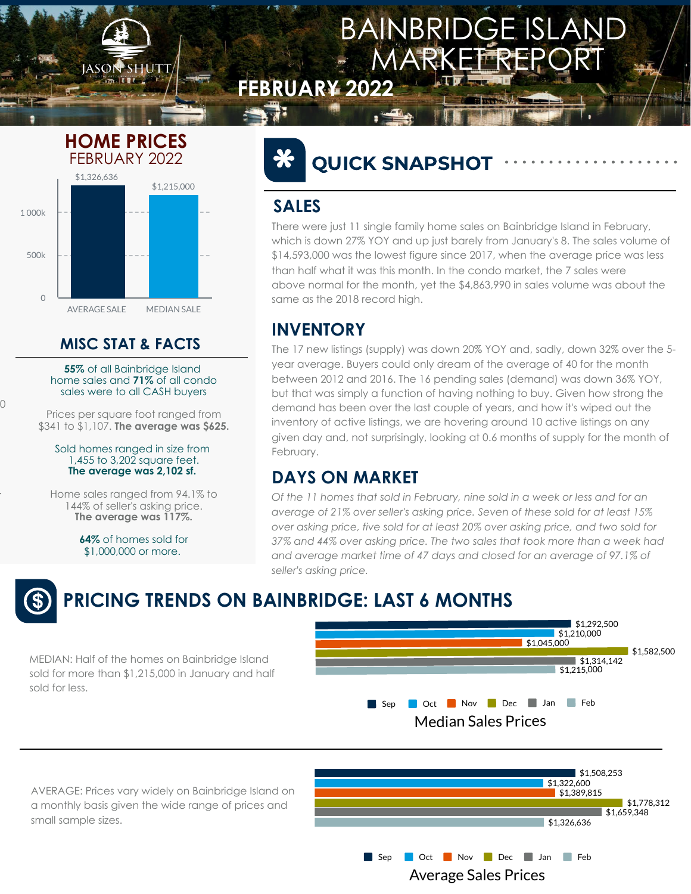0

.

#### **INVENTORY**

*Of the 11 homes that sold in February, nine sold in a week or less and for an average of 21% over seller's asking price. Seven of these sold for at least 15% over asking price, five sold for at least 20% over asking price, and two sold for 37% and 44% over asking price. The two sales that took more than a week had and average market time of 47 days and closed for an average of 97.1% of seller's asking price.*



#### **DAYS ON MARKET**

#### FEBRUARY 2022 **HOME PRICES**

#### Median Sales Prices Sep Oct Nov Dec Jan Feb



#### **MISC STAT & FACTS**



**55%** of all Bainbridge Island home sales and **71%** of all condo sales were to all CASH buyers

Prices per square foot ranged from \$341 to \$1,107. **The average was \$625.**

#### $\frac{1}{2}$ QUICK SNAPSHOT

Sold homes ranged in size from 1,455 to 3,202 square feet. **The average was 2,102 sf.**

Home sales ranged from 94.1% to 144% of seller's asking price. **The average was 117%.**

> **64%** of homes sold for \$1,000,000 or more.



AVERAGE: Prices vary widely on Bainbridge Island on a monthly basis given the wide range of prices and small sample sizes.





MEDIAN: Half of the homes on Bainbridge Island sold for more than \$1,215,000 in January and half

sold for less.

## **PRICING TRENDS ON BAINBRIDGE: LAST 6 MONTHS**

There were just 11 single family home sales on Bainbridge Island in February, which is down 27% YOY and up just barely from January's 8. The sales volume of \$14,593,000 was the lowest figure since 2017, when the average price was less than half what it was this month. In the condo market, the 7 sales were above normal for the month, yet the \$4,863,990 in sales volume was about the same as the 2018 record high.

### **SALES**

The 17 new listings (supply) was down 20% YOY and, sadly, down 32% over the 5 year average. Buyers could only dream of the average of 40 for the month between 2012 and 2016. The 16 pending sales (demand) was down 36% YOY, but that was simply a function of having nothing to buy. Given how strong the demand has been over the last couple of years, and how it's wiped out the inventory of active listings, we are hovering around 10 active listings on any given day and, not surprisingly, looking at 0.6 months of supply for the month of February.